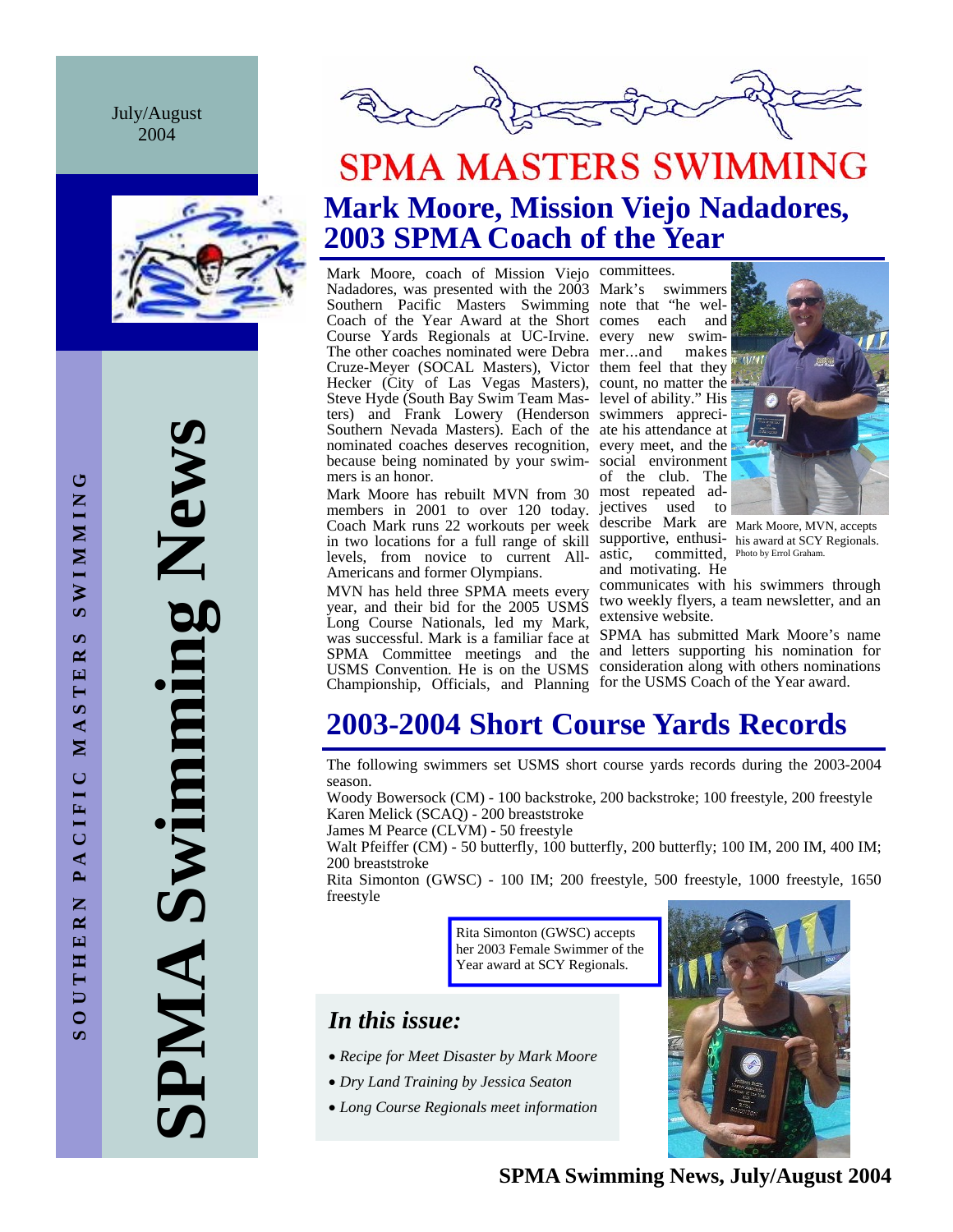July/August 2004



**SPMA Swimming News SPMA Swimming News** 



## **SPMA MASTERS SWIMMING Mark Moore, Mission Viejo Nadadores, 2003 SPMA Coach of the Year**

Mark Moore, coach of Mission Viejo committees. Nadadores, was presented with the 2003 Mark's swimmers Southern Pacific Masters Swimming note that "he wel-Coach of the Year Award at the Short comes each and Course Yards Regionals at UC-Irvine. every new swim-The other coaches nominated were Debra mer...and makes Cruze-Meyer (SOCAL Masters), Victor them feel that they Hecker (City of Las Vegas Masters), count, no matter the Steve Hyde (South Bay Swim Team Mas-level of ability." His ters) and Frank Lowery (Henderson swimmers appreci-Southern Nevada Masters). Each of the ate his attendance at nominated coaches deserves recognition, every meet, and the because being nominated by your swim-social environment mers is an honor.

Mark Moore has rebuilt MVN from 30 most repeated admembers in 2001 to over 120 today. jectives used to Coach Mark runs 22 workouts per week describe Mark are Mark Moore, MVN, accepts in two locations for a full range of skill supportive, enthusi-his award at SCY Regionals. levels, from novice to current All-Americans and former Olympians.

MVN has held three SPMA meets every year, and their bid for the 2005 USMS Long Course Nationals, led my Mark, Championship, Officials, and Planning for the USMS Coach of the Year award.

of the club. The astic, committed, Photo by Errol Graham. and motivating. He



communicates with his swimmers through two weekly flyers, a team newsletter, and an extensive website.

was successful. Mark is a familiar face at SPMA has submitted Mark Moore's name SPMA Committee meetings and the and letters supporting his nomination for USMS Convention. He is on the USMS consideration along with others nominations

## **2003-2004 Short Course Yards Records**

The following swimmers set USMS short course yards records during the 2003-2004 season.

Woody Bowersock (CM) - 100 backstroke, 200 backstroke; 100 freestyle, 200 freestyle Karen Melick (SCAQ) - 200 breaststroke

James M Pearce (CLVM) - 50 freestyle

Walt Pfeiffer (CM) - 50 butterfly, 100 butterfly, 200 butterfly; 100 IM, 200 IM, 400 IM; 200 breaststroke

Rita Simonton (GWSC) - 100 IM; 200 freestyle, 500 freestyle, 1000 freestyle, 1650 freestyle

> Rita Simonton (GWSC) accepts her 2003 Female Swimmer of the Year award at SCY Regionals.

## *In this issue:*

- *Recipe for Meet Disaster by Mark Moore*
- *Dry Land Training by Jessica Seaton*
- *Long Course Regionals meet information*

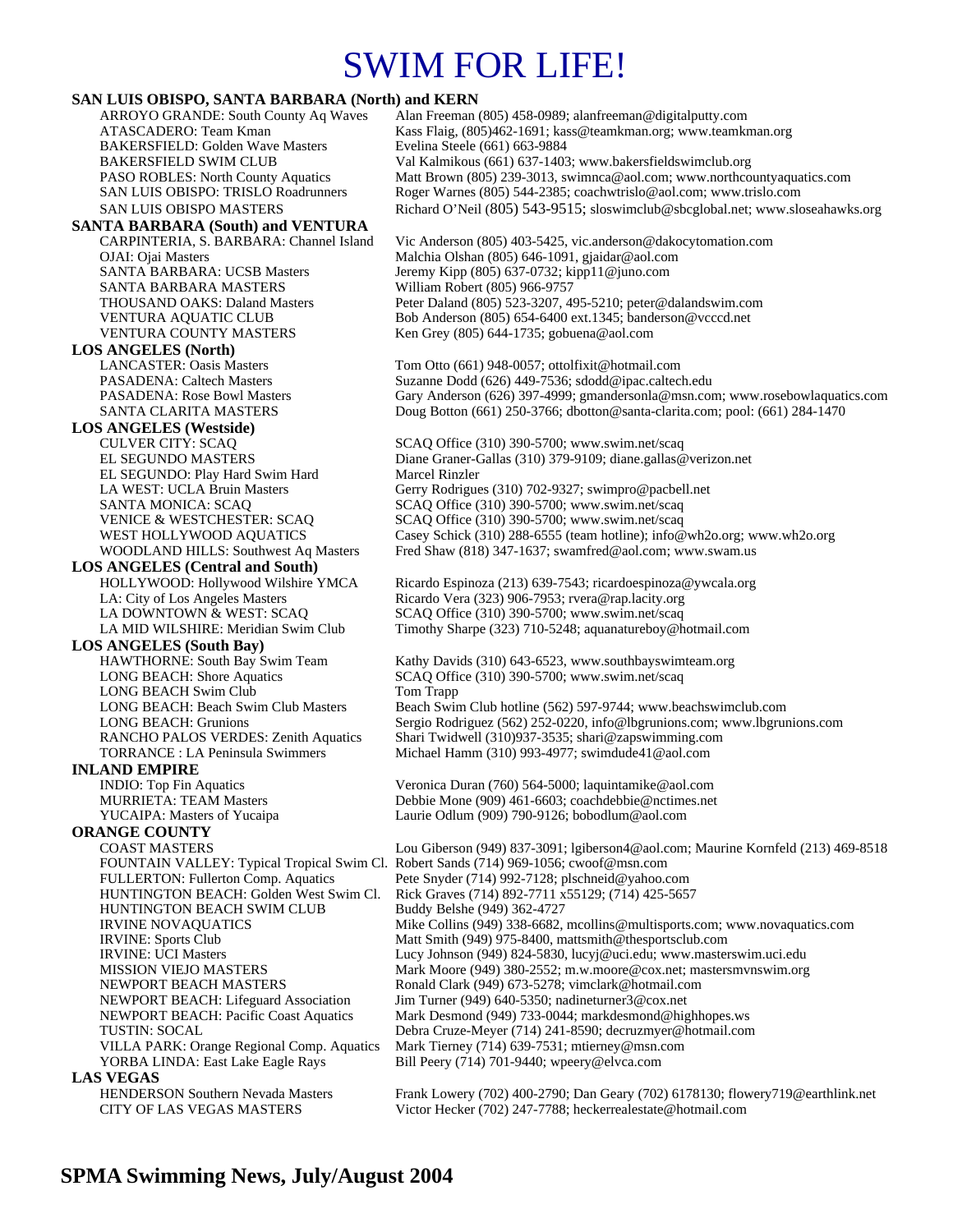# SWIM FOR LIFE!

### **SAN LUIS OBISPO, SANTA BARBARA (North) and KERN**

ARROYO GRANDE: South County Aq Waves Alan Freeman (805) 458-0989; alanfreeman@digitalputty.com ATASCADERO: Team Kman Kass Flaig, (805)462-1691; kass@teamkman.org; www.teamkman.org BAKERSFIELD: Golden Wave Masters Evelina Steele (661) 663-9884<br>BAKERSFIELD SWIM CLUB Val Kalmikous (661) 637-1403 BAKERSFIELD SWIM CLUB Val Kalmikous (661) 637-1403; www.bakersfieldswimclub.org<br>PASO ROBLES: North County Aquatics Matt Brown (805) 239-3013, swimnca@aol.com; www.northco Matt Brown (805) 239-3013, swimnca@aol.com; www.northcountyaquatics.com SAN LUIS OBISPO: TRISLO Roadrunners Roger Warnes (805) 544-2385; coachwtrislo@aol.com; www.trislo.com SAN LUIS OBISPO MASTERS Richard O'Neil (805) 543-9515; sloswimclub@sbcglobal.net; www.sloseahawks.org **SANTA BARBARA (South) and VENTURA**  CARPINTERIA, S. BARBARA: Channel Island Vic Anderson (805) 403-5425, vic.anderson@dakocytomation.com OJAI: Ojai Masters Malchia Olshan (805) 646-1091, gjaidar@aol.com Jeremy Kipp (805) 637-0732; kipp11@juno.com SANTA BARBARA MASTERS William Robert (805) 966-9757 THOUSAND OAKS: Daland Masters Peter Daland (805) 523-3207, 495-5210; peter@dalandswim.com VENTURA AQUATIC CLUB Bob Anderson (805) 654-6400 ext.1345; banderson@vcccd.net VENTURA COUNTY MASTERS Ken Grey (805) 644-1735; gobuena@aol.com **LOS ANGELES (North)** Tom Otto (661) 948-0057; ottolfixit@hotmail.com PASADENA: Caltech Masters Suzanne Dodd (626) 449-7536; sdodd@ipac.caltech.edu PASADENA: Rose Bowl Masters Gary Anderson (626) 397-4999; gmandersonla@msn.com; www.rosebowlaquatics.com SANTA CLARITA MASTERS Doug Botton (661) 250-3766; dbotton@santa-clarita.com; pool: (661) 284-1470 **LOS ANGELES (Westside)** SCAQ Office (310) 390-5700; www.swim.net/scaq EL SEGUNDO MASTERS Diane Graner-Gallas (310) 379-9109; diane.gallas@verizon.net EL SEGUNDO: Play Hard Swim Hard Marcel Rinzler LA WEST: UCLA Bruin Masters Gerry Rodrigues (310) 702-9327; swimpro@pacbell.net<br>SANTA MONICA: SCAQ SERIC SCAQ Office (310) 390-5700; www.swim.net/scaq SCAQ Office (310) 390-5700; www.swim.net/scaq VENICE & WESTCHESTER: SCAQ SCAQ Office (310) 390-5700; www.swim.net/scaq<br>WEST HOLLYWOOD AQUATICS Casey Schick (310) 288-6555 (team hotline); info@ Casey Schick (310) 288-6555 (team hotline); info@wh2o.org; www.wh2o.org WOODLAND HILLS: Southwest Aq Masters Fred Shaw (818) 347-1637; swamfred@aol.com; www.swam.us **LOS ANGELES (Central and South)**  HOLLYWOOD: Hollywood Wilshire YMCA Ricardo Espinoza (213) 639-7543; ricardoespinoza@ywcala.org LA: City of Los Angeles Masters Ricardo Vera (323) 906-7953; rvera@rap.lacity.org<br>LA DOWNTOWN & WEST: SCAQ SCAQ Office (310) 390-5700; www.swim.net/scaq SCAQ Office (310) 390-5700; www.swim.net/scaq LA MID WILSHIRE: Meridian Swim Club Timothy Sharpe (323) 710-5248; aquanatureboy@hotmail.com **LOS ANGELES (South Bay)**  HAWTHORNE: South Bay Swim Team Kathy Davids (310) 643-6523, www.southbayswimteam.org LONG BEACH: Shore Aquatics SCAQ Office (310) 390-5700; www.swim.net/scaq LONG BEACH Swim Club Tom Trapp LONG BEACH: Beach Swim Club Masters Beach Swim Club hotline (562) 597-9744; www.beachswimclub.com LONG BEACH: Grunions Sergio Rodriguez (562) 252-0220, info@lbgrunions.com; www.lbgrunions.com RANCHO PALOS VERDES: Zenith Aquatics Shari Twidwell (310)937-3535; shari@zapswimming.com<br>TORRANCE : LA Peninsula Swimmers Michael Hamm (310) 993-4977; swimdude41@aol.com Michael Hamm (310) 993-4977; swimdude41@aol.com **INLAND EMPIRE**<br>INDIO: Top Fin Aquatics Veronica Duran (760) 564-5000; laquintamike@aol.com MURRIETA: TEAM Masters Debbie Mone (909) 461-6603; coachdebbie@nctimes.net YUCAIPA: Masters of Yucaipa Laurie Odlum (909) 790-9126; bobodlum@aol.com **ORANGE COUNTY**  COAST MASTERS Lou Giberson (949) 837-3091; lgiberson4@aol.com; Maurine Kornfeld (213) 469-8518 FOUNTAIN VALLEY: Typical Tropical Swim Cl. Robert Sands (714) 969-1056; cwoof@msn.com FULLERTON: Fullerton Comp. Aquatics Pete Snyder (714) 992-7128; plschneid@yahoo.com HUNTINGTON BEACH: Golden West Swim Cl. Rick Graves (714) 892-7711 x55129; (714) 425-5657 HUNTINGTON BEACH SWIM CLUB IRVINE NOVAQUATICS Mike Collins (949) 338-6682, mcollins@multisports.com; www.novaquatics.com IRVINE: Sports Club Matt Smith (949) 975-8400, mattsmith@thesportsclub.com IRVINE: UCI Masters Lucy Johnson (949) 824-5830, lucyj@uci.edu; www.masterswim.uci.edu MISSION VIEJO MASTERS Mark Moore (949) 380-2552; m.w.moore@cox.net; mastersmvnswim.org NEWPORT BEACH MASTERS Ronald Clark (949) 673-5278; vimclark@hotmail.com NEWPORT BEACH: Lifeguard Association Jim Turner (949) 640-5350; nadineturner3@cox.net NEWPORT BEACH: Pacific Coast Aquatics Mark Desmond (949) 733-0044; markdesmond@highhopes.ws TUSTIN: SOCAL Debra Cruze-Meyer (714) 241-8590; decruzmyer@hotmail.com VILLA PARK: Orange Regional Comp. Aquatics Mark Tierney (714) 639-7531; mtierney@msn.com YORBA LINDA: East Lake Eagle Rays Bill Peery (714) 701-9440; wpeery@elvca.com **LAS VEGAS**<br>
HENDERSON Southern Nevada Masters

Frank Lowery (702) 400-2790; Dan Geary (702) 6178130; flowery719@earthlink.net CITY OF LAS VEGAS MASTERS Victor Hecker (702) 247-7788; heckerrealestate@hotmail.com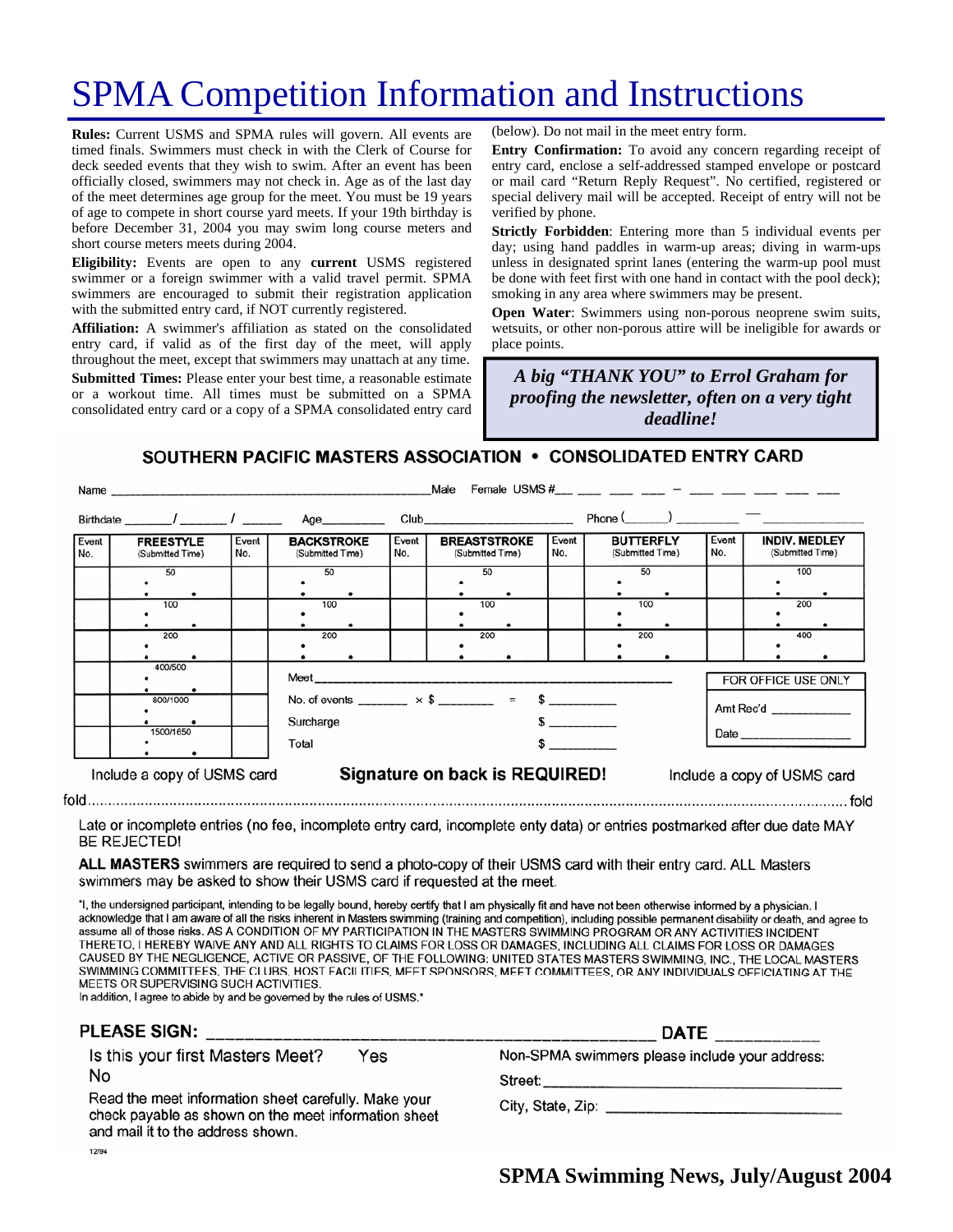# SPMA Competition Information and Instructions

**Rules:** Current USMS and SPMA rules will govern. All events are timed finals. Swimmers must check in with the Clerk of Course for deck seeded events that they wish to swim. After an event has been officially closed, swimmers may not check in. Age as of the last day of the meet determines age group for the meet. You must be 19 years of age to compete in short course yard meets. If your 19th birthday is before December 31, 2004 you may swim long course meters and short course meters meets during 2004.

**Eligibility:** Events are open to any **current** USMS registered swimmer or a foreign swimmer with a valid travel permit. SPMA swimmers are encouraged to submit their registration application with the submitted entry card, if NOT currently registered.

**Affiliation:** A swimmer's affiliation as stated on the consolidated entry card, if valid as of the first day of the meet, will apply throughout the meet, except that swimmers may unattach at any time. **Submitted Times:** Please enter your best time, a reasonable estimate or a workout time. All times must be submitted on a SPMA consolidated entry card or a copy of a SPMA consolidated entry card

(below). Do not mail in the meet entry form.

**Entry Confirmation:** To avoid any concern regarding receipt of entry card, enclose a self-addressed stamped envelope or postcard or mail card "Return Reply Request". No certified, registered or special delivery mail will be accepted. Receipt of entry will not be verified by phone.

**Strictly Forbidden**: Entering more than 5 individual events per day; using hand paddles in warm-up areas; diving in warm-ups unless in designated sprint lanes (entering the warm-up pool must be done with feet first with one hand in contact with the pool deck); smoking in any area where swimmers may be present.

**Open Water:** Swimmers using non-porous neoprene swim suits, wetsuits, or other non-porous attire will be ineligible for awards or place points.

A big "THANK YOU" to Errol Graham for *proofing the newsletter, often on a very tight providing dinner! deadline!* 

SOUTHERN PACIFIC MASTERS ASSOCIATION • CONSOLIDATED ENTRY CARD

|                             | Name and the contract of the contract of the contract of the contract of the contract of the contract of the contract of the contract of the contract of the contract of the contract of the contract of the contract of the c |                     | Male<br>Female USMS $#_{\text{max}} = 2$ and $+$ and $-$ and $-$ and $-$ and $-$ and $-$ |                                |                                                         |  |                                                                                                                                                                                                                                |                                      |  |                  |                                          |  |     |
|-----------------------------|--------------------------------------------------------------------------------------------------------------------------------------------------------------------------------------------------------------------------------|---------------------|------------------------------------------------------------------------------------------|--------------------------------|---------------------------------------------------------|--|--------------------------------------------------------------------------------------------------------------------------------------------------------------------------------------------------------------------------------|--------------------------------------|--|------------------|------------------------------------------|--|-----|
|                             |                                                                                                                                                                                                                                |                     |                                                                                          | Age__________                  |                                                         |  | Club and the contract of the contract of the contract of the contract of the contract of the contract of the contract of the contract of the contract of the contract of the contract of the contract of the contract of the c |                                      |  | $Phone($ $)$ $)$ |                                          |  |     |
| Event<br>No.                | <b>FREESTYLE</b><br>(Submitted Time)                                                                                                                                                                                           | Event<br>No.        | <b>BACKSTROKE</b><br>(Submitted Time)                                                    |                                | Event<br><b>BREASTSTROKE</b><br>No.<br>(Submitted Time) |  | Event<br>No.                                                                                                                                                                                                                   | <b>BUTTERFLY</b><br>(Submitted Time) |  | Event<br>No.     | <b>INDIV. MEDLEY</b><br>(Submitted Time) |  |     |
|                             | 50                                                                                                                                                                                                                             |                     | 50                                                                                       |                                |                                                         |  | 50                                                                                                                                                                                                                             |                                      |  | 50               |                                          |  | 100 |
|                             | 100                                                                                                                                                                                                                            |                     | 100                                                                                      |                                |                                                         |  | 100                                                                                                                                                                                                                            |                                      |  | 100              |                                          |  | 200 |
|                             | 200                                                                                                                                                                                                                            |                     | 200                                                                                      |                                |                                                         |  | 200                                                                                                                                                                                                                            |                                      |  | 200              |                                          |  | 400 |
|                             | 400/500                                                                                                                                                                                                                        | FOR OFFICE USE ONLY |                                                                                          |                                |                                                         |  |                                                                                                                                                                                                                                |                                      |  |                  |                                          |  |     |
|                             | 800/1000                                                                                                                                                                                                                       |                     | No. of events ________ $\times$ \$ ________ = \$ _________<br>Surcharge<br>$\sim$        |                                |                                                         |  |                                                                                                                                                                                                                                |                                      |  |                  | Amt Rec'd _____________                  |  |     |
|                             | 1500/1650<br>Total                                                                                                                                                                                                             |                     |                                                                                          |                                | $\sim$                                                  |  |                                                                                                                                                                                                                                |                                      |  |                  |                                          |  |     |
| Include a copy of USMS card |                                                                                                                                                                                                                                |                     |                                                                                          | Signature on back is REQUIRED! |                                                         |  |                                                                                                                                                                                                                                |                                      |  |                  | Include a copy of USMS card              |  |     |

Late or incomplete entries (no fee, incomplete entry card, incomplete enty data) or entries postmarked after due date MAY **BE REJECTED!** 

ALL MASTERS swimmers are required to send a photo-copy of their USMS card with their entry card. ALL Masters swimmers may be asked to show their USMS card if requested at the meet.

"I, the undersigned participant, intending to be legally bound, hereby certify that I am physically fit and have not been otherwise informed by a physician. I acknowledge that I am aware of all the risks inherent in Masters swimming (training and competition), including possible permanent disability or death, and agree to assume all of those risks. AS A CONDITION OF MY PARTICIPATION IN THE MASTERS SWIMMING PROGRAM OR ANY ACTIVITIES INCIDENT THERETO, I HEREBY WAIVE ANY AND ALL RIGHTS TO CLAIMS FOR LOSS OR DAMAGES, INCLUDING ALL CLAIMS FOR LOSS OR DAMAGES CAUSED BY THE NEGLIGENCE, ACTIVE OR PASSIVE, OF THE FOLLOWING: UNITED STATES MASTERS SWIMMING, INC., THE LOCAL MASTERS SWIMMING COMMITTEES, THE CLUBS, HOST FACILITIES, MEET SPONSORS, MEET COMMITTEES, OR ANY INDIVIDUALS OFFICIATING AT THE MEETS OR SUPERVISING SUCH ACTIVITIES.

In addition, I agree to abide by and be governed by the rules of USMS."

 $fold$ <sub>...</sub>.....

| PLEASE SIGN:                                                                                                                                                                                                | <b>DATE</b>                                    |  |  |  |  |
|-------------------------------------------------------------------------------------------------------------------------------------------------------------------------------------------------------------|------------------------------------------------|--|--|--|--|
| Is this your first Masters Meet?<br>Yes<br>No<br>Read the meet information sheet carefully. Make your<br>check payable as shown on the meet information sheet<br>and mail it to the address shown.<br>12/94 | Non-SPMA swimmers please include your address: |  |  |  |  |
|                                                                                                                                                                                                             |                                                |  |  |  |  |

**SPMA Swimming News, July/August 2004**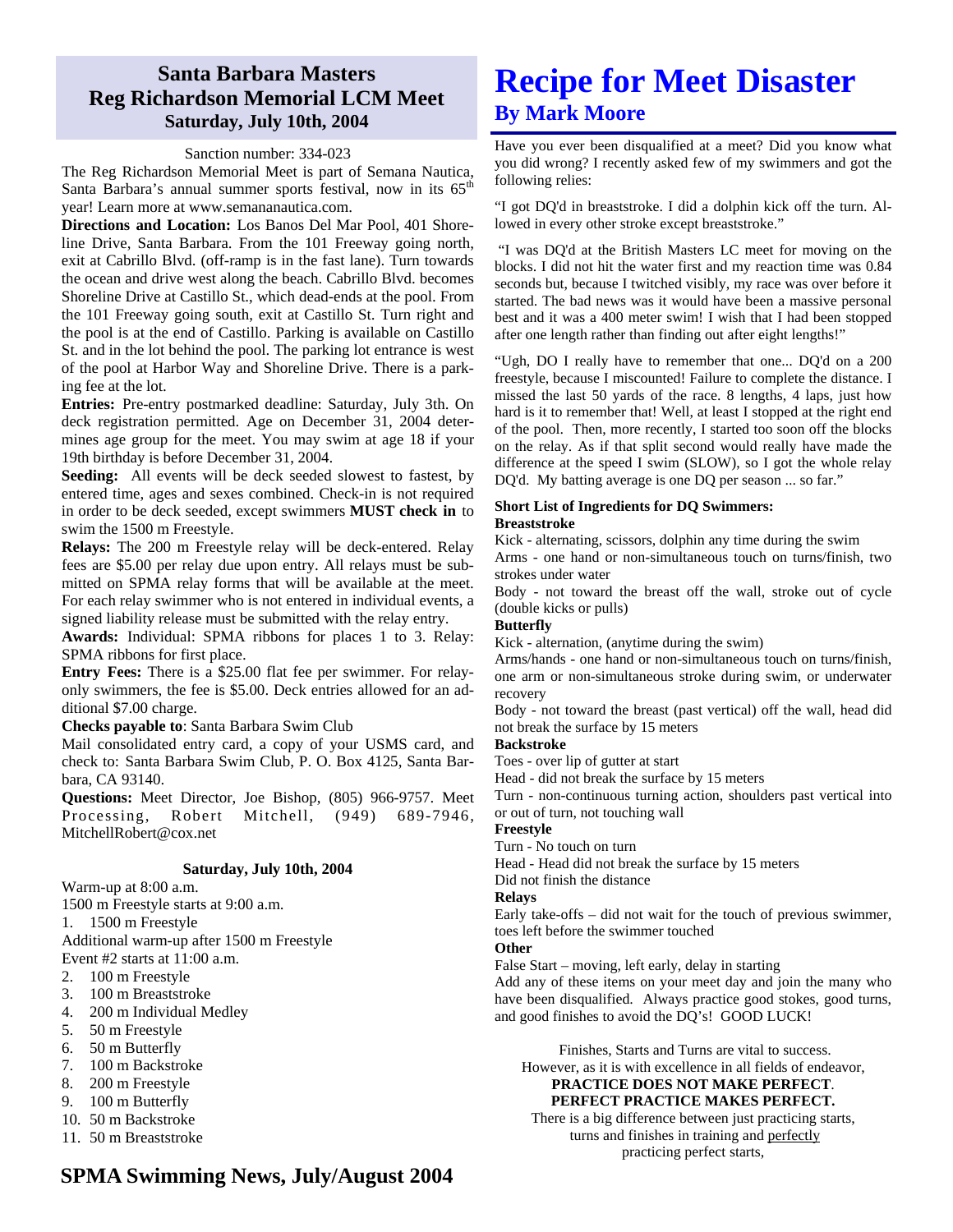## **Santa Barbara Masters Reg Richardson Memorial LCM Meet Saturday, July 10th, 2004**

### Sanction number: 334-023

The Reg Richardson Memorial Meet is part of Semana Nautica, Santa Barbara's annual summer sports festival, now in its  $65<sup>th</sup>$ year! Learn more at www.semananautica.com.

**Directions and Location:** Los Banos Del Mar Pool, 401 Shoreline Drive, Santa Barbara. From the 101 Freeway going north, exit at Cabrillo Blvd. (off-ramp is in the fast lane). Turn towards the ocean and drive west along the beach. Cabrillo Blvd. becomes Shoreline Drive at Castillo St., which dead-ends at the pool. From the 101 Freeway going south, exit at Castillo St. Turn right and the pool is at the end of Castillo. Parking is available on Castillo St. and in the lot behind the pool. The parking lot entrance is west of the pool at Harbor Way and Shoreline Drive. There is a parking fee at the lot.

**Entries:** Pre-entry postmarked deadline: Saturday, July 3th. On deck registration permitted. Age on December 31, 2004 determines age group for the meet. You may swim at age 18 if your 19th birthday is before December 31, 2004.

**Seeding:** All events will be deck seeded slowest to fastest, by entered time, ages and sexes combined. Check-in is not required in order to be deck seeded, except swimmers **MUST check in** to swim the 1500 m Freestyle.

**Relays:** The 200 m Freestyle relay will be deck-entered. Relay fees are \$5.00 per relay due upon entry. All relays must be submitted on SPMA relay forms that will be available at the meet. For each relay swimmer who is not entered in individual events, a signed liability release must be submitted with the relay entry.

**Awards:** Individual: SPMA ribbons for places 1 to 3. Relay: SPMA ribbons for first place.

**Entry Fees:** There is a \$25.00 flat fee per swimmer. For relayonly swimmers, the fee is \$5.00. Deck entries allowed for an additional \$7.00 charge.

**Checks payable to**: Santa Barbara Swim Club

Mail consolidated entry card, a copy of your USMS card, and check to: Santa Barbara Swim Club, P. O. Box 4125, Santa Barbara, CA 93140.

**Questions:** Meet Director, Joe Bishop, (805) 966-9757. Meet Processing, Robert Mitchell, (949) 689-7946, MitchellRobert@cox.net

#### **Saturday, July 10th, 2004**

Warm-up at 8:00 a.m. 1500 m Freestyle starts at 9:00 a.m.

1. 1500 m Freestyle

Additional warm-up after 1500 m Freestyle Event #2 starts at 11:00 a.m.

- 2. 100 m Freestyle
- 3. 100 m Breaststroke
- 4. 200 m Individual Medley
- 5. 50 m Freestyle
- 6. 50 m Butterfly
- 7. 100 m Backstroke
- 8. 200 m Freestyle
- 9. 100 m Butterfly
- 10. 50 m Backstroke
- 11. 50 m Breaststroke

## **Recipe for Meet Disaster By Mark Moore**

Have you ever been disqualified at a meet? Did you know what you did wrong? I recently asked few of my swimmers and got the following relies:

"I got DQ'd in breaststroke. I did a dolphin kick off the turn. Allowed in every other stroke except breaststroke."

 "I was DQ'd at the British Masters LC meet for moving on the blocks. I did not hit the water first and my reaction time was 0.84 seconds but, because I twitched visibly, my race was over before it started. The bad news was it would have been a massive personal best and it was a 400 meter swim! I wish that I had been stopped after one length rather than finding out after eight lengths!"

"Ugh, DO I really have to remember that one... DQ'd on a 200 freestyle, because I miscounted! Failure to complete the distance. I missed the last 50 yards of the race. 8 lengths, 4 laps, just how hard is it to remember that! Well, at least I stopped at the right end of the pool. Then, more recently, I started too soon off the blocks on the relay. As if that split second would really have made the difference at the speed I swim (SLOW), so I got the whole relay DQ'd. My batting average is one DQ per season ... so far."

#### **Short List of Ingredients for DQ Swimmers: Breaststroke**

Kick - alternating, scissors, dolphin any time during the swim

Arms - one hand or non-simultaneous touch on turns/finish, two strokes under water

Body - not toward the breast off the wall, stroke out of cycle (double kicks or pulls)

#### **Butterfly**

Kick - alternation, (anytime during the swim)

Arms/hands - one hand or non-simultaneous touch on turns/finish, one arm or non-simultaneous stroke during swim, or underwater recovery

Body - not toward the breast (past vertical) off the wall, head did not break the surface by 15 meters

#### **Backstroke**

Toes - over lip of gutter at start

Head - did not break the surface by 15 meters

Turn - non-continuous turning action, shoulders past vertical into or out of turn, not touching wall

### **Freestyle**

Turn - No touch on turn

Head - Head did not break the surface by 15 meters

Did not finish the distance

**Relays** 

Early take-offs – did not wait for the touch of previous swimmer, toes left before the swimmer touched

#### **Other**

False Start – moving, left early, delay in starting

Add any of these items on your meet day and join the many who have been disqualified. Always practice good stokes, good turns, and good finishes to avoid the DQ's! GOOD LUCK!

Finishes, Starts and Turns are vital to success.

However, as it is with excellence in all fields of endeavor, **PRACTICE DOES NOT MAKE PERFECT**.

## **PERFECT PRACTICE MAKES PERFECT.**

There is a big difference between just practicing starts, turns and finishes in training and perfectly practicing perfect starts,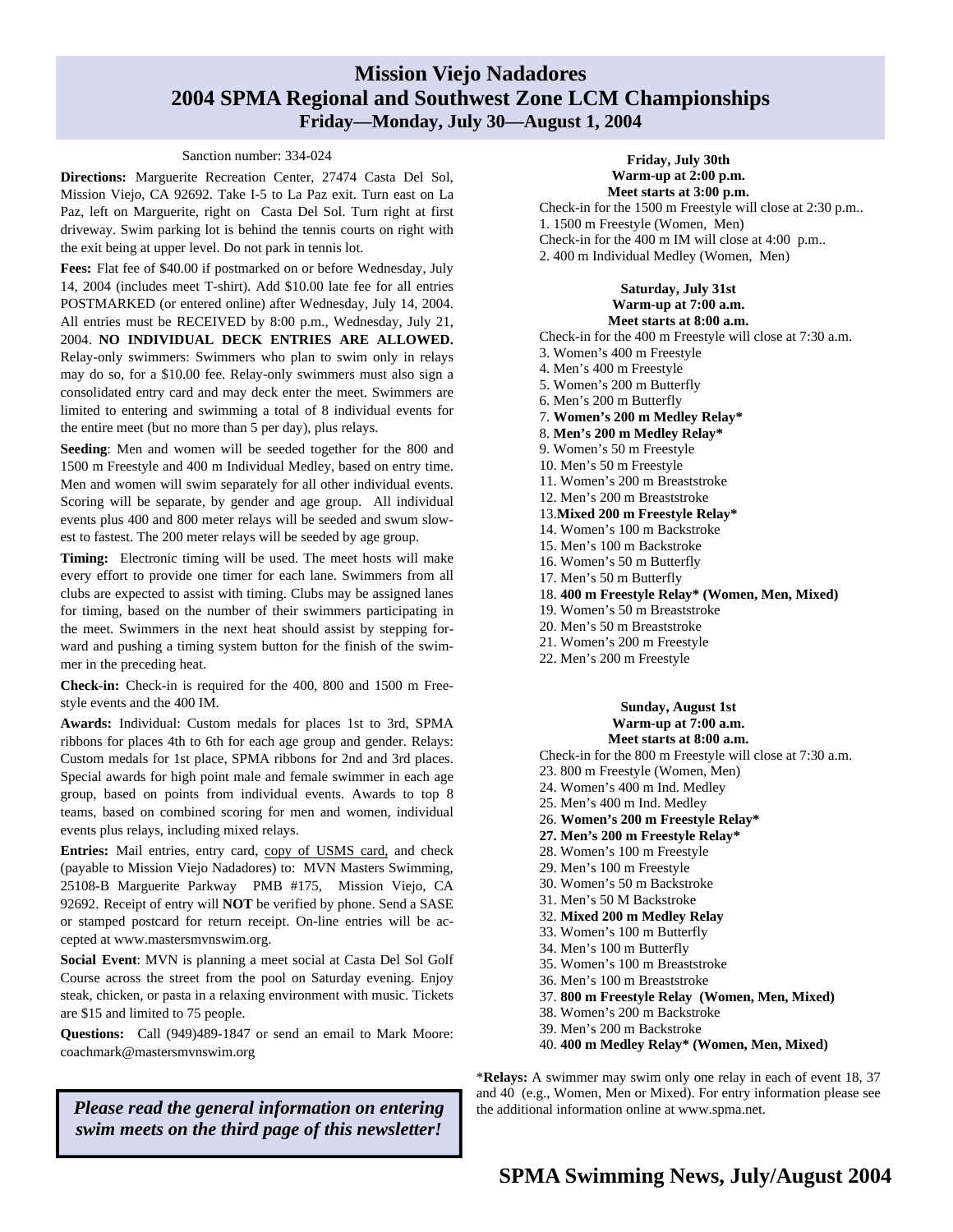## **Mission Viejo Nadadores 2004 SPMA Regional and Southwest Zone LCM Championships Friday—Monday, July 30—August 1, 2004**

#### Sanction number: 334-024

**Directions:** Marguerite Recreation Center, 27474 Casta Del Sol, Mission Viejo, CA 92692. Take I-5 to La Paz exit. Turn east on La Paz, left on Marguerite, right on Casta Del Sol. Turn right at first driveway. Swim parking lot is behind the tennis courts on right with the exit being at upper level. Do not park in tennis lot.

Fees: Flat fee of \$40.00 if postmarked on or before Wednesday, July 14, 2004 (includes meet T-shirt). Add \$10.00 late fee for all entries POSTMARKED (or entered online) after Wednesday, July 14, 2004. All entries must be RECEIVED by 8:00 p.m., Wednesday, July 21, 2004. **NO INDIVIDUAL DECK ENTRIES ARE ALLOWED.** Relay-only swimmers: Swimmers who plan to swim only in relays may do so, for a \$10.00 fee. Relay-only swimmers must also sign a consolidated entry card and may deck enter the meet. Swimmers are limited to entering and swimming a total of 8 individual events for the entire meet (but no more than 5 per day), plus relays.

**Seeding**: Men and women will be seeded together for the 800 and 1500 m Freestyle and 400 m Individual Medley, based on entry time. Men and women will swim separately for all other individual events. Scoring will be separate, by gender and age group. All individual events plus 400 and 800 meter relays will be seeded and swum slowest to fastest. The 200 meter relays will be seeded by age group.

**Timing:** Electronic timing will be used. The meet hosts will make every effort to provide one timer for each lane. Swimmers from all clubs are expected to assist with timing. Clubs may be assigned lanes for timing, based on the number of their swimmers participating in the meet. Swimmers in the next heat should assist by stepping forward and pushing a timing system button for the finish of the swimmer in the preceding heat.

**Check-in:** Check-in is required for the 400, 800 and 1500 m Freestyle events and the 400 IM.

**Awards:** Individual: Custom medals for places 1st to 3rd, SPMA ribbons for places 4th to 6th for each age group and gender. Relays: Custom medals for 1st place, SPMA ribbons for 2nd and 3rd places. Special awards for high point male and female swimmer in each age group, based on points from individual events. Awards to top 8 teams, based on combined scoring for men and women, individual events plus relays, including mixed relays.

**Entries:** Mail entries, entry card, copy of USMS card, and check (payable to Mission Viejo Nadadores) to: MVN Masters Swimming, 25108-B Marguerite Parkway PMB #175, Mission Viejo, CA 92692. Receipt of entry will **NOT** be verified by phone. Send a SASE or stamped postcard for return receipt. On-line entries will be accepted at www.mastersmvnswim.org.

**Social Event**: MVN is planning a meet social at Casta Del Sol Golf Course across the street from the pool on Saturday evening. Enjoy steak, chicken, or pasta in a relaxing environment with music. Tickets are \$15 and limited to 75 people.

**Questions:** Call (949)489-1847 or send an email to Mark Moore: coachmark@mastersmvnswim.org

*Please read the general information on entering swim meets on the third page of this newsletter!* 

#### **Friday, July 30th Warm-up at 2:00 p.m. Meet starts at 3:00 p.m.**

Check-in for the 1500 m Freestyle will close at 2:30 p.m.. 1. 1500 m Freestyle (Women, Men) Check-in for the 400 m IM will close at 4:00 p.m.. 2. 400 m Individual Medley (Women, Men)

#### **Saturday, July 31st Warm-up at 7:00 a.m. Meet starts at 8:00 a.m.**

Check-in for the 400 m Freestyle will close at 7:30 a.m. 3. Women's 400 m Freestyle 4. Men's 400 m Freestyle 5. Women's 200 m Butterfly 6. Men's 200 m Butterfly 7. **Women's 200 m Medley Relay\***  8. **Men's 200 m Medley Relay\***  9. Women's 50 m Freestyle 10. Men's 50 m Freestyle 11. Women's 200 m Breaststroke 12. Men's 200 m Breaststroke 13.**Mixed 200 m Freestyle Relay\***  14. Women's 100 m Backstroke 15. Men's 100 m Backstroke 16. Women's 50 m Butterfly 17. Men's 50 m Butterfly 18. **400 m Freestyle Relay\* (Women, Men, Mixed)**  19. Women's 50 m Breaststroke 20. Men's 50 m Breaststroke 21. Women's 200 m Freestyle 22. Men's 200 m Freestyle

> **Sunday, August 1st Warm-up at 7:00 a.m.**

**Meet starts at 8:00 a.m.**  Check-in for the 800 m Freestyle will close at 7:30 a.m. 23. 800 m Freestyle (Women, Men) 24. Women's 400 m Ind. Medley 25. Men's 400 m Ind. Medley 26. **Women's 200 m Freestyle Relay\* 27. Men's 200 m Freestyle Relay\***  28. Women's 100 m Freestyle 29. Men's 100 m Freestyle 30. Women's 50 m Backstroke 31. Men's 50 M Backstroke 32. **Mixed 200 m Medley Relay**  33. Women's 100 m Butterfly 34. Men's 100 m Butterfly 35. Women's 100 m Breaststroke 36. Men's 100 m Breaststroke 37. **800 m Freestyle Relay (Women, Men, Mixed)**  38. Women's 200 m Backstroke 39. Men's 200 m Backstroke 40. **400 m Medley Relay\* (Women, Men, Mixed)** 

\***Relays:** A swimmer may swim only one relay in each of event 18, 37 and 40 (e.g., Women, Men or Mixed). For entry information please see the additional information online at www.spma.net.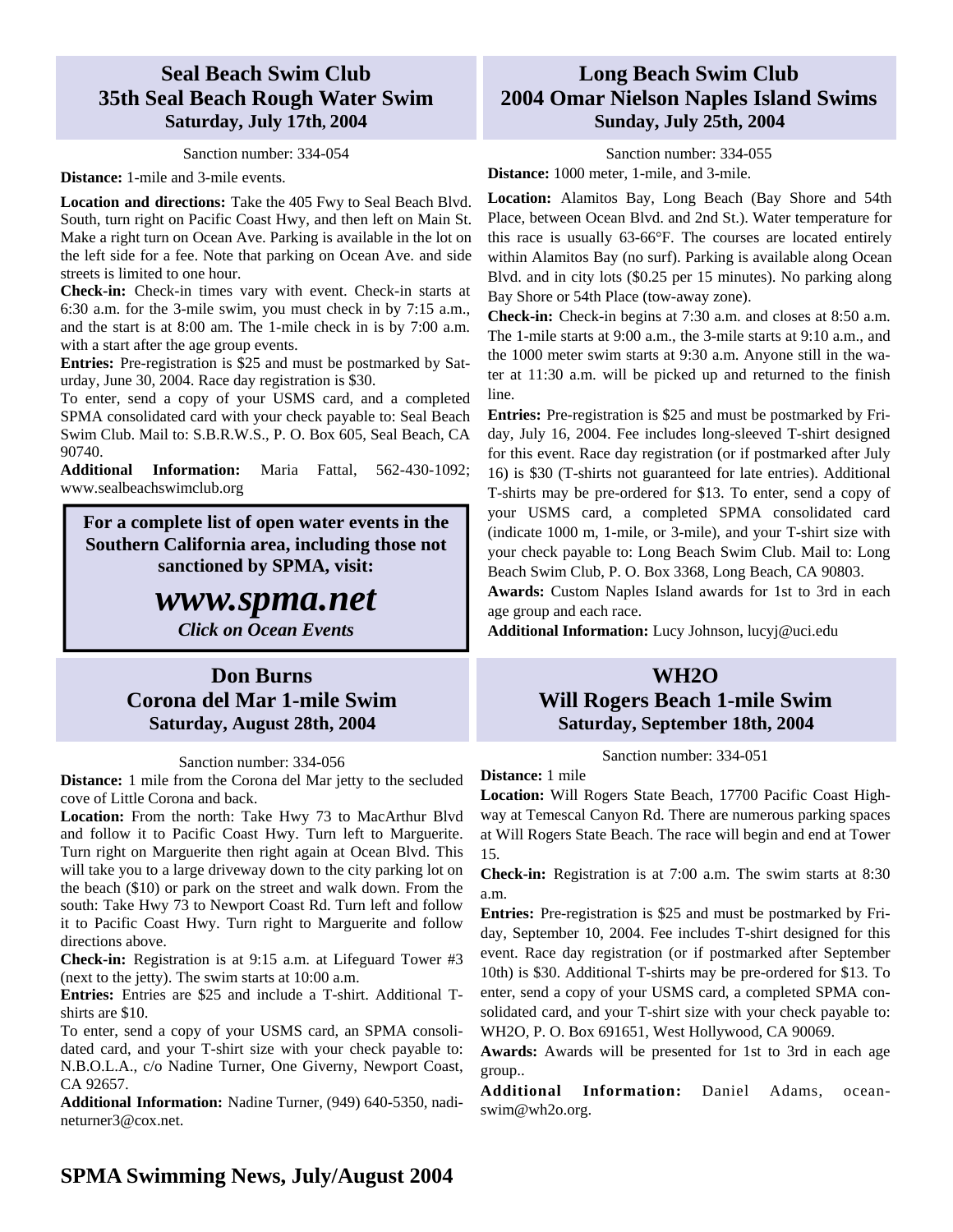## **Seal Beach Swim Club 35th Seal Beach Rough Water Swim Saturday, July 17th, 2004**

### Sanction number: 334-054

**Distance:** 1-mile and 3-mile events.

**Location and directions:** Take the 405 Fwy to Seal Beach Blvd. South, turn right on Pacific Coast Hwy, and then left on Main St. Make a right turn on Ocean Ave. Parking is available in the lot on the left side for a fee. Note that parking on Ocean Ave. and side streets is limited to one hour.

**Check-in:** Check-in times vary with event. Check-in starts at 6:30 a.m. for the 3-mile swim, you must check in by 7:15 a.m., and the start is at 8:00 am. The 1-mile check in is by 7:00 a.m. with a start after the age group events.

**Entries:** Pre-registration is \$25 and must be postmarked by Saturday, June 30, 2004. Race day registration is \$30.

To enter, send a copy of your USMS card, and a completed SPMA consolidated card with your check payable to: Seal Beach Swim Club. Mail to: S.B.R.W.S., P. O. Box 605, Seal Beach, CA 90740.

**Additional Information:** Maria Fattal, 562-430-1092; www.sealbeachswimclub.org

**For a complete list of open water events in the Southern California area, including those not sanctioned by SPMA, visit:** 

## *www.spma.net Click on Ocean Events*

## **Don Burns Corona del Mar 1-mile Swim Saturday, August 28th, 2004**

#### Sanction number: 334-056

**Distance:** 1 mile from the Corona del Mar jetty to the secluded cove of Little Corona and back.

**Location:** From the north: Take Hwy 73 to MacArthur Blvd and follow it to Pacific Coast Hwy. Turn left to Marguerite. Turn right on Marguerite then right again at Ocean Blvd. This will take you to a large driveway down to the city parking lot on the beach (\$10) or park on the street and walk down. From the south: Take Hwy 73 to Newport Coast Rd. Turn left and follow it to Pacific Coast Hwy. Turn right to Marguerite and follow directions above.

**Check-in:** Registration is at 9:15 a.m. at Lifeguard Tower #3 (next to the jetty). The swim starts at 10:00 a.m.

**Entries:** Entries are \$25 and include a T-shirt. Additional Tshirts are \$10.

To enter, send a copy of your USMS card, an SPMA consolidated card, and your T-shirt size with your check payable to: N.B.O.L.A., c/o Nadine Turner, One Giverny, Newport Coast, CA 92657.

**Additional Information:** Nadine Turner, (949) 640-5350, nadineturner3@cox.net.

## **Long Beach Swim Club 2004 Omar Nielson Naples Island Swims Sunday, July 25th, 2004**

Sanction number: 334-055 **Distance:** 1000 meter, 1-mile, and 3-mile.

**Location:** Alamitos Bay, Long Beach (Bay Shore and 54th Place, between Ocean Blvd. and 2nd St.). Water temperature for this race is usually 63-66°F. The courses are located entirely within Alamitos Bay (no surf). Parking is available along Ocean Blvd. and in city lots (\$0.25 per 15 minutes). No parking along Bay Shore or 54th Place (tow-away zone).

**Check-in:** Check-in begins at 7:30 a.m. and closes at 8:50 a.m. The 1-mile starts at 9:00 a.m., the 3-mile starts at 9:10 a.m., and the 1000 meter swim starts at 9:30 a.m. Anyone still in the water at 11:30 a.m. will be picked up and returned to the finish line.

**Entries:** Pre-registration is \$25 and must be postmarked by Friday, July 16, 2004. Fee includes long-sleeved T-shirt designed for this event. Race day registration (or if postmarked after July 16) is \$30 (T-shirts not guaranteed for late entries). Additional T-shirts may be pre-ordered for \$13. To enter, send a copy of your USMS card, a completed SPMA consolidated card (indicate 1000 m, 1-mile, or 3-mile), and your T-shirt size with your check payable to: Long Beach Swim Club. Mail to: Long Beach Swim Club, P. O. Box 3368, Long Beach, CA 90803.

**Awards:** Custom Naples Island awards for 1st to 3rd in each age group and each race.

**Additional Information:** Lucy Johnson, lucyj@uci.edu

### **WH2O**

## **Will Rogers Beach 1-mile Swim Saturday, September 18th, 2004**

Sanction number: 334-051

#### **Distance:** 1 mile

**Location:** Will Rogers State Beach, 17700 Pacific Coast Highway at Temescal Canyon Rd. There are numerous parking spaces at Will Rogers State Beach. The race will begin and end at Tower 15.

**Check-in:** Registration is at 7:00 a.m. The swim starts at 8:30 a.m.

**Entries:** Pre-registration is \$25 and must be postmarked by Friday, September 10, 2004. Fee includes T-shirt designed for this event. Race day registration (or if postmarked after September 10th) is \$30. Additional T-shirts may be pre-ordered for \$13. To enter, send a copy of your USMS card, a completed SPMA consolidated card, and your T-shirt size with your check payable to: WH2O, P. O. Box 691651, West Hollywood, CA 90069.

**Awards:** Awards will be presented for 1st to 3rd in each age group..

**Additional Information:** Daniel Adams, oceanswim@wh2o.org.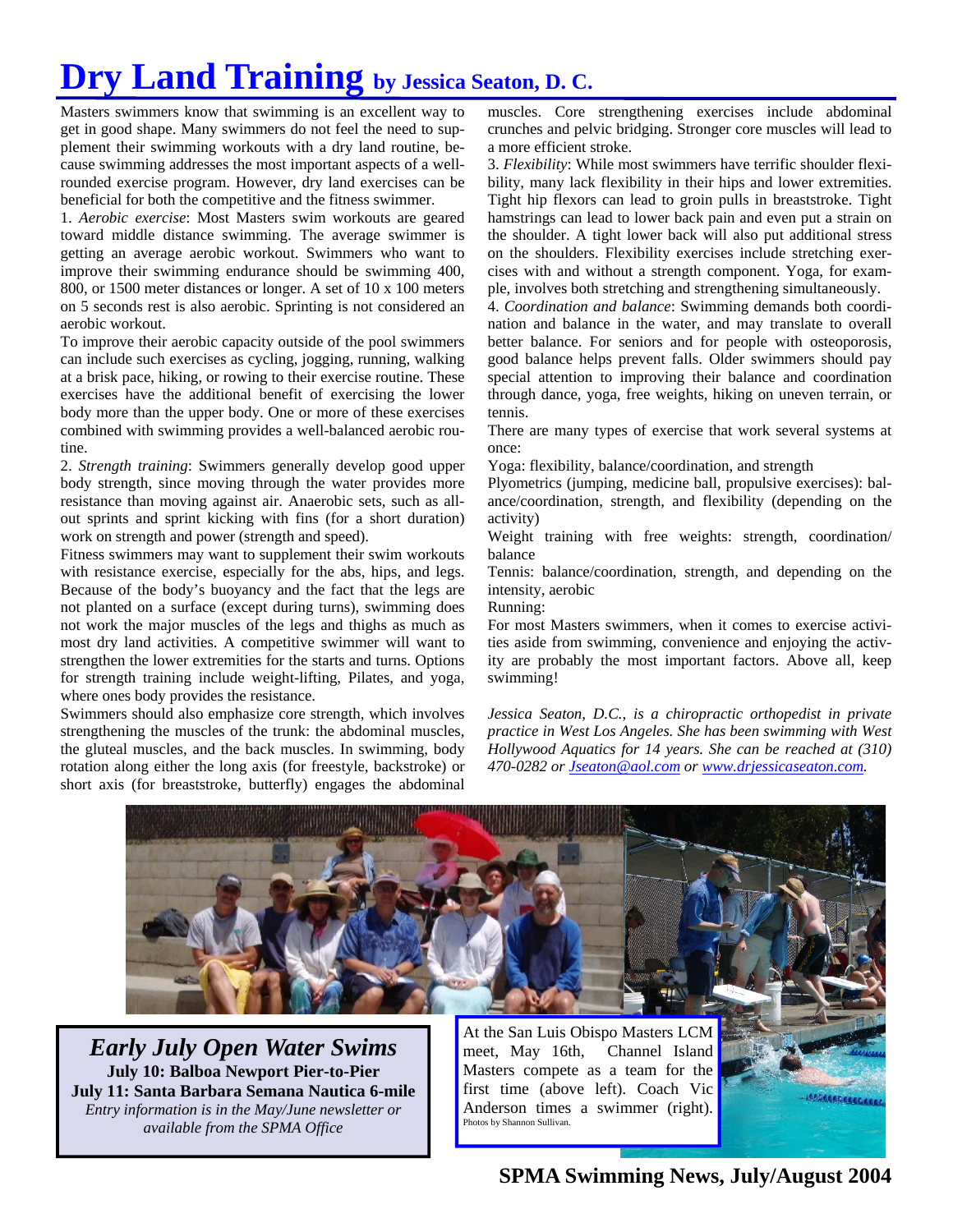# **Dry Land Training by Jessica Seaton, D. C.**

Masters swimmers know that swimming is an excellent way to get in good shape. Many swimmers do not feel the need to supplement their swimming workouts with a dry land routine, because swimming addresses the most important aspects of a wellrounded exercise program. However, dry land exercises can be beneficial for both the competitive and the fitness swimmer.

1. *Aerobic exercise*: Most Masters swim workouts are geared toward middle distance swimming. The average swimmer is getting an average aerobic workout. Swimmers who want to improve their swimming endurance should be swimming 400, 800, or 1500 meter distances or longer. A set of 10 x 100 meters on 5 seconds rest is also aerobic. Sprinting is not considered an aerobic workout.

To improve their aerobic capacity outside of the pool swimmers can include such exercises as cycling, jogging, running, walking at a brisk pace, hiking, or rowing to their exercise routine. These exercises have the additional benefit of exercising the lower body more than the upper body. One or more of these exercises combined with swimming provides a well-balanced aerobic routine.

2. *Strength training*: Swimmers generally develop good upper body strength, since moving through the water provides more resistance than moving against air. Anaerobic sets, such as allout sprints and sprint kicking with fins (for a short duration) work on strength and power (strength and speed).

Fitness swimmers may want to supplement their swim workouts with resistance exercise, especially for the abs, hips, and legs. Because of the body's buoyancy and the fact that the legs are not planted on a surface (except during turns), swimming does not work the major muscles of the legs and thighs as much as most dry land activities. A competitive swimmer will want to strengthen the lower extremities for the starts and turns. Options for strength training include weight-lifting, Pilates, and yoga, where ones body provides the resistance.

Swimmers should also emphasize core strength, which involves strengthening the muscles of the trunk: the abdominal muscles, the gluteal muscles, and the back muscles. In swimming, body rotation along either the long axis (for freestyle, backstroke) or short axis (for breaststroke, butterfly) engages the abdominal

muscles. Core strengthening exercises include abdominal crunches and pelvic bridging. Stronger core muscles will lead to a more efficient stroke.

3. *Flexibility*: While most swimmers have terrific shoulder flexibility, many lack flexibility in their hips and lower extremities. Tight hip flexors can lead to groin pulls in breaststroke. Tight hamstrings can lead to lower back pain and even put a strain on the shoulder. A tight lower back will also put additional stress on the shoulders. Flexibility exercises include stretching exercises with and without a strength component. Yoga, for example, involves both stretching and strengthening simultaneously.

4. *Coordination and balance*: Swimming demands both coordination and balance in the water, and may translate to overall better balance. For seniors and for people with osteoporosis, good balance helps prevent falls. Older swimmers should pay special attention to improving their balance and coordination through dance, yoga, free weights, hiking on uneven terrain, or tennis.

There are many types of exercise that work several systems at once:

Yoga: flexibility, balance/coordination, and strength

Plyometrics (jumping, medicine ball, propulsive exercises): balance/coordination, strength, and flexibility (depending on the activity)

Weight training with free weights: strength, coordination/ balance

Tennis: balance/coordination, strength, and depending on the intensity, aerobic

Running:

For most Masters swimmers, when it comes to exercise activities aside from swimming, convenience and enjoying the activity are probably the most important factors. Above all, keep swimming!

*Jessica Seaton, D.C., is a chiropractic orthopedist in private practice in West Los Angeles. She has been swimming with West Hollywood Aquatics for 14 years. She can be reached at (310) 470-0282 or Jseaton@aol.com or www.drjessicaseaton.com.* 



**July 10: Balboa Newport Pier-to-Pier July 11: Santa Barbara Semana Nautica 6-mile**  *Entry information is in the May/June newsletter or available from the SPMA Office* 

Masters compete as a team for the first time (above left). Coach Vic Anderson times a swimmer (right). Photos by Shannon Sullivan.

**SPMA Swimming News, July/August 2004** 

*<u> ASSARAGERER RADI</u>*